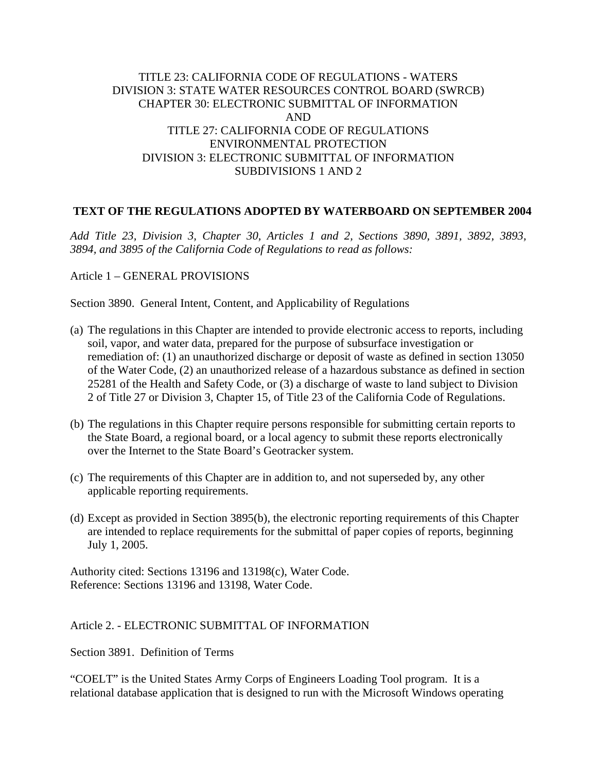## TITLE 23: CALIFORNIA CODE OF REGULATIONS - WATERS DIVISION 3: STATE WATER RESOURCES CONTROL BOARD (SWRCB) CHAPTER 30: ELECTRONIC SUBMITTAL OF INFORMATION AND TITLE 27: CALIFORNIA CODE OF REGULATIONS ENVIRONMENTAL PROTECTION DIVISION 3: ELECTRONIC SUBMITTAL OF INFORMATION SUBDIVISIONS 1 AND 2

## **TEXT OF THE REGULATIONS ADOPTED BY WATERBOARD ON SEPTEMBER 2004**

*Add Title 23, Division 3, Chapter 30, Articles 1 and 2, Sections 3890, 3891, 3892, 3893, 3894, and 3895 of the California Code of Regulations to read as follows:* 

Article 1 – GENERAL PROVISIONS

Section 3890. General Intent, Content, and Applicability of Regulations

- (a) The regulations in this Chapter are intended to provide electronic access to reports, including soil, vapor, and water data, prepared for the purpose of subsurface investigation or remediation of: (1) an unauthorized discharge or deposit of waste as defined in section 13050 of the Water Code, (2) an unauthorized release of a hazardous substance as defined in section 25281 of the Health and Safety Code, or (3) a discharge of waste to land subject to Division 2 of Title 27 or Division 3, Chapter 15, of Title 23 of the California Code of Regulations.
- (b) The regulations in this Chapter require persons responsible for submitting certain reports to the State Board, a regional board, or a local agency to submit these reports electronically over the Internet to the State Board's Geotracker system.
- (c) The requirements of this Chapter are in addition to, and not superseded by, any other applicable reporting requirements.
- (d) Except as provided in Section 3895(b), the electronic reporting requirements of this Chapter are intended to replace requirements for the submittal of paper copies of reports, beginning July 1, 2005.

Authority cited: Sections 13196 and 13198(c), Water Code. Reference: Sections 13196 and 13198, Water Code.

## Article 2. - ELECTRONIC SUBMITTAL OF INFORMATION

Section 3891. Definition of Terms

"COELT" is the United States Army Corps of Engineers Loading Tool program. It is a relational database application that is designed to run with the Microsoft Windows operating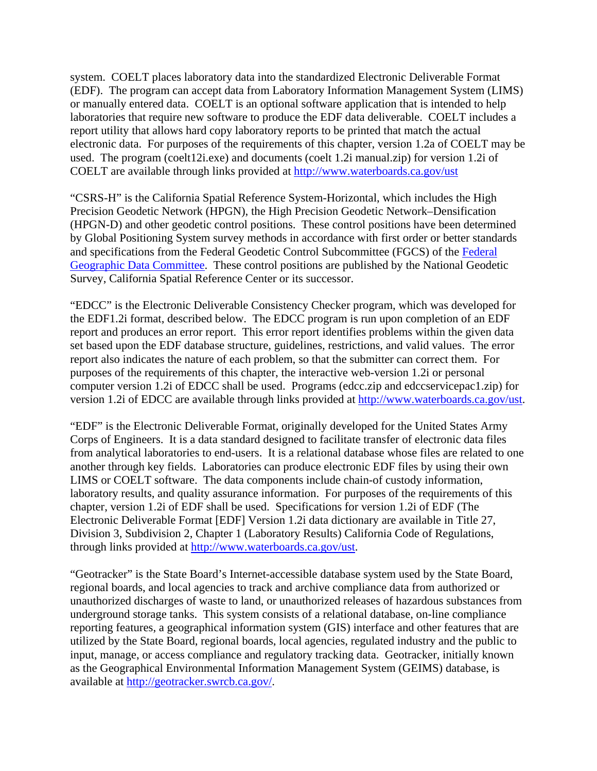system. COELT places laboratory data into the standardized Electronic Deliverable Format (EDF). The program can accept data from Laboratory Information Management System (LIMS) or manually entered data. COELT is an optional software application that is intended to help laboratories that require new software to produce the EDF data deliverable. COELT includes a report utility that allows hard copy laboratory reports to be printed that match the actual electronic data. For purposes of the requirements of this chapter, version 1.2a of COELT may be used. The program (coelt12i.exe) and documents (coelt 1.2i manual.zip) for version 1.2i of COELT are available through links provided at <http://www.waterboards.ca.gov/ust>

"CSRS-H" is the California Spatial Reference System-Horizontal, which includes the High Precision Geodetic Network (HPGN), the High Precision Geodetic Network–Densification (HPGN-D) and other geodetic control positions. These control positions have been determined by Global Positioning System survey methods in accordance with first order or better standards and specifications from the Federal Geodetic Control Subcommittee (FGCS) of the [Federal](http://fgdc.er.usgs.gov/)  [Geographic Data Committee.](http://fgdc.er.usgs.gov/) These control positions are published by the National Geodetic Survey, California Spatial Reference Center or its successor.

"EDCC" is the Electronic Deliverable Consistency Checker program, which was developed for the EDF1.2i format, described below. The EDCC program is run upon completion of an EDF report and produces an error report. This error report identifies problems within the given data set based upon the EDF database structure, guidelines, restrictions, and valid values. The error report also indicates the nature of each problem, so that the submitter can correct them. For purposes of the requirements of this chapter, the interactive web-version 1.2i or personal computer version 1.2i of EDCC shall be used. Programs (edcc.zip and edccservicepac1.zip) for version 1.2i of EDCC are available through links provided at [http://www.waterboards.ca.gov/ust.](http://www.waterboards.ca.gov/ust)

"EDF" is the Electronic Deliverable Format, originally developed for the United States Army Corps of Engineers. It is a data standard designed to facilitate transfer of electronic data files from analytical laboratories to end-users. It is a relational database whose files are related to one another through key fields. Laboratories can produce electronic EDF files by using their own LIMS or COELT software. The data components include chain-of custody information, laboratory results, and quality assurance information. For purposes of the requirements of this chapter, version 1.2i of EDF shall be used. Specifications for version 1.2i of EDF (The Electronic Deliverable Format [EDF] Version 1.2i data dictionary are available in Title 27, Division 3, Subdivision 2, Chapter 1 (Laboratory Results) California Code of Regulations, through links provided at<http://www.waterboards.ca.gov/ust>.

"Geotracker" is the State Board's Internet-accessible database system used by the State Board, regional boards, and local agencies to track and archive compliance data from authorized or unauthorized discharges of waste to land, or unauthorized releases of hazardous substances from underground storage tanks. This system consists of a relational database, on-line compliance reporting features, a geographical information system (GIS) interface and other features that are utilized by the State Board, regional boards, local agencies, regulated industry and the public to input, manage, or access compliance and regulatory tracking data. Geotracker, initially known as the Geographical Environmental Information Management System (GEIMS) database, is available at [http://geotracker.swrcb.ca.gov/.](http://geotracker.swrcb.ca.gov/)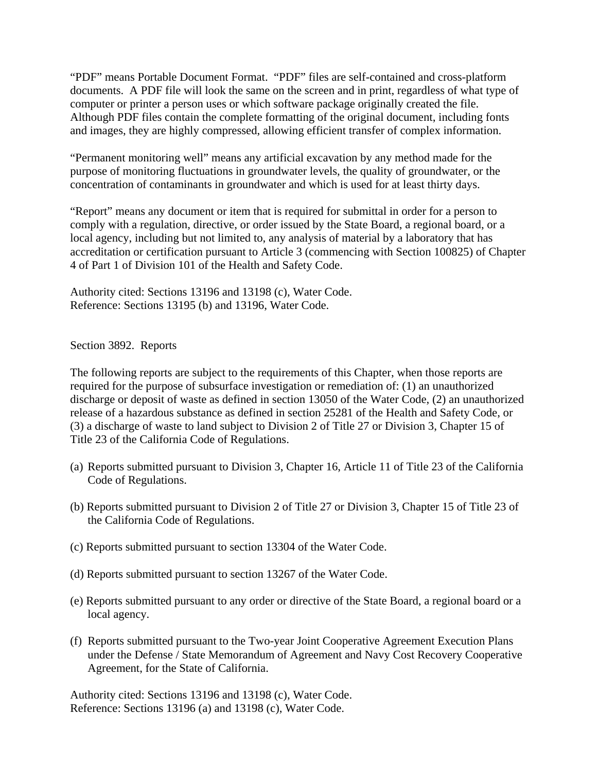"PDF" means Portable Document Format. "PDF" files are self-contained and cross-platform documents. A PDF file will look the same on the screen and in print, regardless of what type of computer or printer a person uses or which software package originally created the file. Although PDF files contain the complete formatting of the original document, including fonts and images, they are highly compressed, allowing efficient transfer of complex information.

"Permanent monitoring well" means any artificial excavation by any method made for the purpose of monitoring fluctuations in groundwater levels, the quality of groundwater, or the concentration of contaminants in groundwater and which is used for at least thirty days.

"Report" means any document or item that is required for submittal in order for a person to comply with a regulation, directive, or order issued by the State Board, a regional board, or a local agency, including but not limited to, any analysis of material by a laboratory that has accreditation or certification pursuant to Article 3 (commencing with Section 100825) of Chapter 4 of Part 1 of Division 101 of the Health and Safety Code.

Authority cited: Sections 13196 and 13198 (c), Water Code. Reference: Sections 13195 (b) and 13196, Water Code.

Section 3892. Reports

The following reports are subject to the requirements of this Chapter, when those reports are required for the purpose of subsurface investigation or remediation of: (1) an unauthorized discharge or deposit of waste as defined in section 13050 of the Water Code, (2) an unauthorized release of a hazardous substance as defined in section 25281 of the Health and Safety Code, or (3) a discharge of waste to land subject to Division 2 of Title 27 or Division 3, Chapter 15 of Title 23 of the California Code of Regulations.

- (a) Reports submitted pursuant to Division 3, Chapter 16, Article 11 of Title 23 of the California Code of Regulations.
- (b) Reports submitted pursuant to Division 2 of Title 27 or Division 3, Chapter 15 of Title 23 of the California Code of Regulations.
- (c) Reports submitted pursuant to section 13304 of the Water Code.
- (d) Reports submitted pursuant to section 13267 of the Water Code.
- (e) Reports submitted pursuant to any order or directive of the State Board, a regional board or a local agency.
- (f) Reports submitted pursuant to the Two-year Joint Cooperative Agreement Execution Plans under the Defense / State Memorandum of Agreement and Navy Cost Recovery Cooperative Agreement, for the State of California.

Authority cited: Sections 13196 and 13198 (c), Water Code. Reference: Sections 13196 (a) and 13198 (c), Water Code.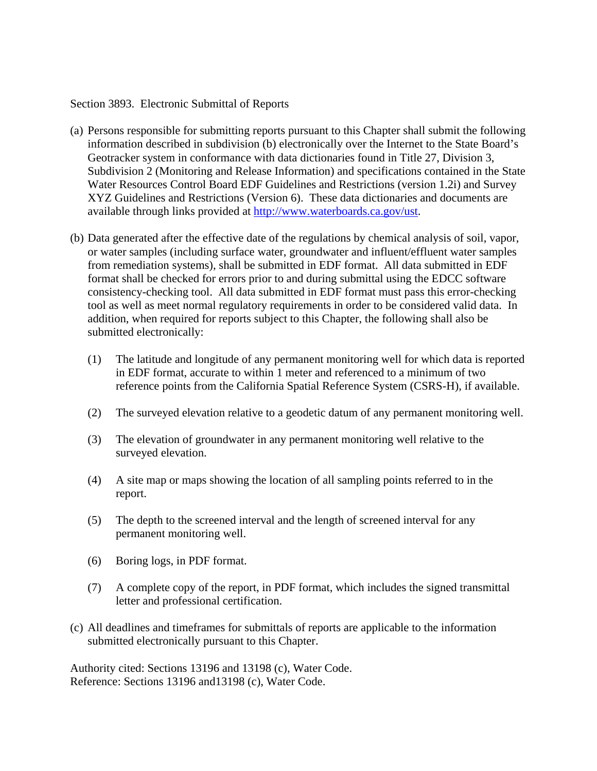## Section 3893. Electronic Submittal of Reports

- (a) Persons responsible for submitting reports pursuant to this Chapter shall submit the following information described in subdivision (b) electronically over the Internet to the State Board's Geotracker system in conformance with data dictionaries found in Title 27, Division 3, Subdivision 2 (Monitoring and Release Information) and specifications contained in the State Water Resources Control Board EDF Guidelines and Restrictions (version 1.2i) and Survey XYZ Guidelines and Restrictions (Version 6). These data dictionaries and documents are available through links provided at [http://www.waterboards.ca.gov/ust.](http://www.waterboards.ca.gov/ust)
- (b) Data generated after the effective date of the regulations by chemical analysis of soil, vapor, or water samples (including surface water, groundwater and influent/effluent water samples from remediation systems), shall be submitted in EDF format. All data submitted in EDF format shall be checked for errors prior to and during submittal using the EDCC software consistency-checking tool. All data submitted in EDF format must pass this error-checking tool as well as meet normal regulatory requirements in order to be considered valid data. In addition, when required for reports subject to this Chapter, the following shall also be submitted electronically:
	- (1) The latitude and longitude of any permanent monitoring well for which data is reported in EDF format, accurate to within 1 meter and referenced to a minimum of two reference points from the California Spatial Reference System (CSRS-H), if available.
	- (2) The surveyed elevation relative to a geodetic datum of any permanent monitoring well.
	- (3) The elevation of groundwater in any permanent monitoring well relative to the surveyed elevation.
	- (4) A site map or maps showing the location of all sampling points referred to in the report.
	- (5) The depth to the screened interval and the length of screened interval for any permanent monitoring well.
	- (6) Boring logs, in PDF format.
	- (7) A complete copy of the report, in PDF format, which includes the signed transmittal letter and professional certification.
- (c) All deadlines and timeframes for submittals of reports are applicable to the information submitted electronically pursuant to this Chapter.

Authority cited: Sections 13196 and 13198 (c), Water Code. Reference: Sections 13196 and13198 (c), Water Code.